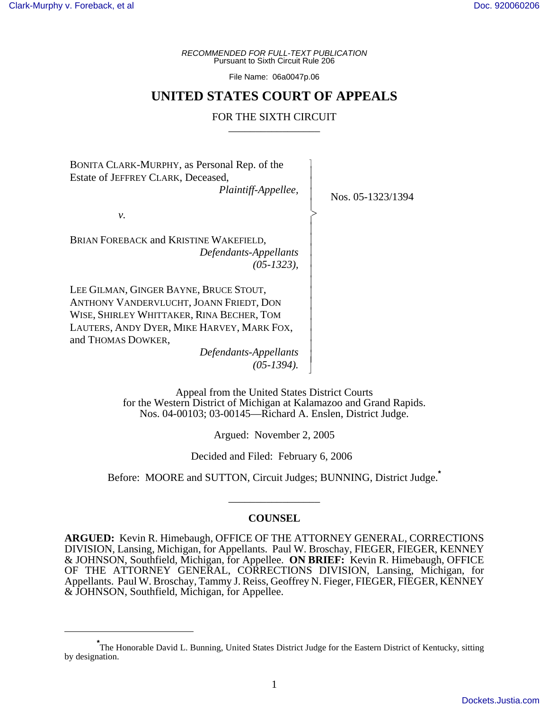*RECOMMENDED FOR FULL-TEXT PUBLICATION* Pursuant to Sixth Circuit Rule 206

File Name: 06a0047p.06

# **UNITED STATES COURT OF APPEALS**

# FOR THE SIXTH CIRCUIT

 $\overline{\phantom{a}}$ - - - -  $\succ$ |<br>|<br>| - - - - - - - - - - - - - N

BONITA CLARK-MURPHY, as Personal Rep. of the Estate of JEFFREY CLARK, Deceased, *Plaintiff-Appellee,*

*v.*

BRIAN FOREBACK and KRISTINE WAKEFIELD, *Defendants-Appellants (05-1323),*

LEE GILMAN, GINGER BAYNE, BRUCE STOUT, ANTHONY VANDERVLUCHT, JOANN FRIEDT, DON WISE, SHIRLEY WHITTAKER, RINA BECHER, TOM LAUTERS, ANDY DYER, MIKE HARVEY, MARK FOX, and THOMAS DOWKER,

> *Defendants-Appellants (05-1394).*

Nos. 05-1323/1394

Appeal from the United States District Courts for the Western District of Michigan at Kalamazoo and Grand Rapids. Nos. 04-00103; 03-00145—Richard A. Enslen, District Judge.

Argued: November 2, 2005

Decided and Filed: February 6, 2006

Before: MOORE and SUTTON, Circuit Judges; BUNNING, District Judge.**\***

# **COUNSEL**

\_\_\_\_\_\_\_\_\_\_\_\_\_\_\_\_\_

**ARGUED:** Kevin R. Himebaugh, OFFICE OF THE ATTORNEY GENERAL, CORRECTIONS DIVISION, Lansing, Michigan, for Appellants. Paul W. Broschay, FIEGER, FIEGER, KENNEY & JOHNSON, Southfield, Michigan, for Appellee. **ON BRIEF:** Kevin R. Himebaugh, OFFICE OF THE ATTORNEY GENERAL, CORRECTIONS DIVISION, Lansing, Michigan, for Appellants. Paul W. Broschay, Tammy J. Reiss, Geoffrey N. Fieger, FIEGER, FIEGER, KENNEY & JOHNSON, Southfield, Michigan, for Appellee.

**<sup>\*</sup>** The Honorable David L. Bunning, United States District Judge for the Eastern District of Kentucky, sitting by designation.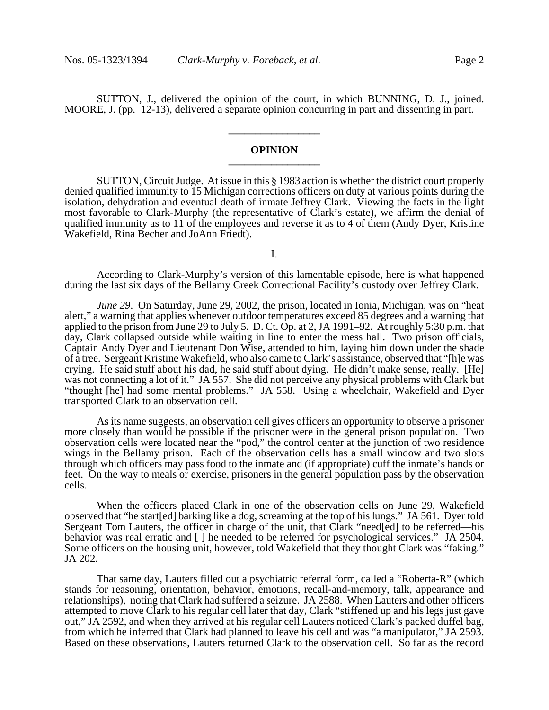SUTTON, J., delivered the opinion of the court, in which BUNNING, D. J., joined. MOORE, J. (pp. 12-13), delivered a separate opinion concurring in part and dissenting in part.

**\_\_\_\_\_\_\_\_\_\_\_\_\_\_\_\_\_**

# **OPINION \_\_\_\_\_\_\_\_\_\_\_\_\_\_\_\_\_**

SUTTON, Circuit Judge. At issue in this § 1983 action is whether the district court properly denied qualified immunity to 15 Michigan corrections officers on duty at various points during the isolation, dehydration and eventual death of inmate Jeffrey Clark. Viewing the facts in the light most favorable to Clark-Murphy (the representative of Clark's estate), we affirm the denial of qualified immunity as to 11 of the employees and reverse it as to 4 of them (Andy Dyer, Kristine Wakefield, Rina Becher and JoAnn Friedt).

I.

According to Clark-Murphy's version of this lamentable episode, here is what happened during the last six days of the Bellamy Creek Correctional Facility's custody over Jeffrey Clark.

*June 29*. On Saturday, June 29, 2002, the prison, located in Ionia, Michigan, was on "heat alert," a warning that applies whenever outdoor temperatures exceed 85 degrees and a warning that applied to the prison from June 29 to July 5. D. Ct. Op. at 2, JA 1991–92. At roughly 5:30 p.m. that day, Clark collapsed outside while waiting in line to enter the mess hall. Two prison officials, Captain Andy Dyer and Lieutenant Don Wise, attended to him, laying him down under the shade of a tree. Sergeant Kristine Wakefield, who also came to Clark's assistance, observed that "[h]e was crying. He said stuff about his dad, he said stuff about dying. He didn't make sense, really. [He] was not connecting a lot of it." JA 557. She did not perceive any physical problems with Clark but "thought [he] had some mental problems." JA 558. Using a wheelchair, Wakefield and Dyer transported Clark to an observation cell.

As its name suggests, an observation cell gives officers an opportunity to observe a prisoner more closely than would be possible if the prisoner were in the general prison population. Two observation cells were located near the "pod," the control center at the junction of two residence wings in the Bellamy prison. Each of the observation cells has a small window and two slots through which officers may pass food to the inmate and (if appropriate) cuff the inmate's hands or feet. On the way to meals or exercise, prisoners in the general population pass by the observation cells.

When the officers placed Clark in one of the observation cells on June 29, Wakefield observed that "he start[ed] barking like a dog, screaming at the top of his lungs." JA 561. Dyer told Sergeant Tom Lauters, the officer in charge of the unit, that Clark "need[ed] to be referred—his behavior was real erratic and  $\lceil \cdot \rceil$  he needed to be referred for psychological services." JA 2504. Some officers on the housing unit, however, told Wakefield that they thought Clark was "faking." JA 202.

That same day, Lauters filled out a psychiatric referral form, called a "Roberta-R" (which stands for reasoning, orientation, behavior, emotions, recall-and-memory, talk, appearance and relationships), noting that Clark had suffered a seizure. JA 2588. When Lauters and other officers attempted to move Clark to his regular cell later that day, Clark "stiffened up and his legs just gave out," JA 2592, and when they arrived at his regular cell Lauters noticed Clark's packed duffel bag, from which he inferred that Clark had planned to leave his cell and was "a manipulator," JA 2593. Based on these observations, Lauters returned Clark to the observation cell. So far as the record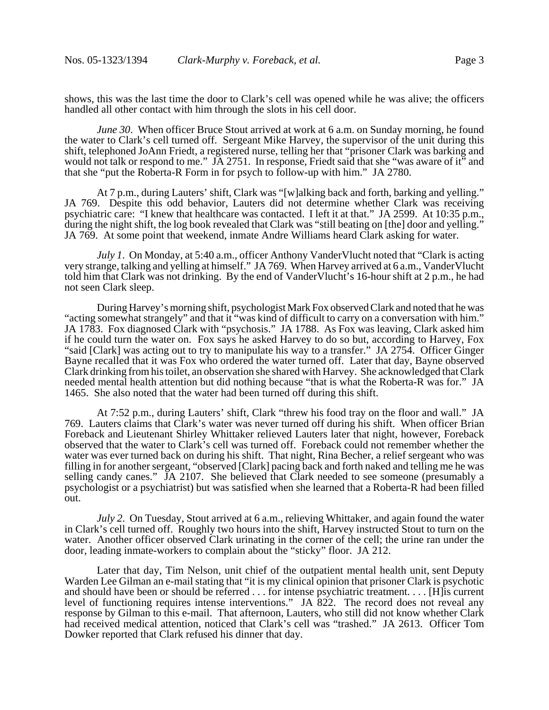shows, this was the last time the door to Clark's cell was opened while he was alive; the officers handled all other contact with him through the slots in his cell door.

*June 30.* When officer Bruce Stout arrived at work at 6 a.m. on Sunday morning, he found the water to Clark's cell turned off. Sergeant Mike Harvey, the supervisor of the unit during this shift, telephoned JoAnn Friedt, a registered nurse, telling her that "prisoner Clark was barking and would not talk or respond to me." JA 2751. In response, Friedt said that she "was aware of it" and that she "put the Roberta-R Form in for psych to follow-up with him." JA 2780.

At 7 p.m., during Lauters' shift, Clark was "[w]alking back and forth, barking and yelling." JA 769. Despite this odd behavior, Lauters did not determine whether Clark was receiving psychiatric care: "I knew that healthcare was contacted. I left it at that." JA 2599. At 10:35 p.m., during the night shift, the log book revealed that Clark was "still beating on [the] door and yelling." JA 769. At some point that weekend, inmate Andre Williams heard Clark asking for water.

*July 1*. On Monday, at 5:40 a.m., officer Anthony VanderVlucht noted that "Clark is acting very strange, talking and yelling at himself." JA 769. When Harvey arrived at 6 a.m., VanderVlucht told him that Clark was not drinking. By the end of VanderVlucht's 16-hour shift at 2 p.m., he had not seen Clark sleep.

During Harvey's morning shift, psychologist Mark Fox observed Clark and noted that he was "acting somewhat strangely" and that it "was kind of difficult to carry on a conversation with him." JA 1783. Fox diagnosed Clark with "psychosis." JA 1788. As Fox was leaving, Clark asked him if he could turn the water on. Fox says he asked Harvey to do so but, according to Harvey, Fox "said [Clark] was acting out to try to manipulate his way to a transfer." JA 2754. Officer Ginger Bayne recalled that it was Fox who ordered the water turned off. Later that day, Bayne observed Clark drinking from his toilet, an observation she shared with Harvey. She acknowledged that Clark needed mental health attention but did nothing because "that is what the Roberta-R was for." JA 1465. She also noted that the water had been turned off during this shift.

At 7:52 p.m., during Lauters' shift, Clark "threw his food tray on the floor and wall." JA 769. Lauters claims that Clark's water was never turned off during his shift. When officer Brian Foreback and Lieutenant Shirley Whittaker relieved Lauters later that night, however, Foreback observed that the water to Clark's cell was turned off. Foreback could not remember whether the water was ever turned back on during his shift. That night, Rina Becher, a relief sergeant who was filling in for another sergeant, "observed [Clark] pacing back and forth naked and telling me he was selling candy canes." JA 2107. She believed that Clark needed to see someone (presumably a psychologist or a psychiatrist) but was satisfied when she learned that a Roberta-R had been filled out.

*July 2*. On Tuesday, Stout arrived at 6 a.m., relieving Whittaker, and again found the water in Clark's cell turned off. Roughly two hours into the shift, Harvey instructed Stout to turn on the water. Another officer observed Clark urinating in the corner of the cell; the urine ran under the door, leading inmate-workers to complain about the "sticky" floor. JA 212.

 Later that day, Tim Nelson, unit chief of the outpatient mental health unit, sent Deputy Warden Lee Gilman an e-mail stating that "it is my clinical opinion that prisoner Clark is psychotic and should have been or should be referred . . . for intense psychiatric treatment. . . . [H]is current level of functioning requires intense interventions." JA 822. The record does not reveal any response by Gilman to this e-mail. That afternoon, Lauters, who still did not know whether Clark had received medical attention, noticed that Clark's cell was "trashed." JA 2613. Officer Tom Dowker reported that Clark refused his dinner that day.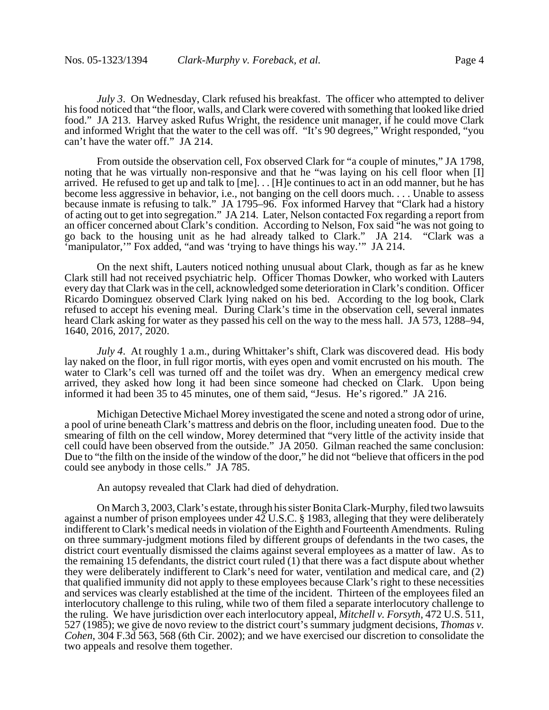*July 3*. On Wednesday, Clark refused his breakfast. The officer who attempted to deliver his food noticed that "the floor, walls, and Clark were covered with something that looked like dried food." JA 213. Harvey asked Rufus Wright, the residence unit manager, if he could move Clark and informed Wright that the water to the cell was off. "It's 90 degrees," Wright responded, "you can't have the water off." JA 214.

From outside the observation cell, Fox observed Clark for "a couple of minutes," JA 1798, noting that he was virtually non-responsive and that he "was laying on his cell floor when [I] arrived. He refused to get up and talk to [me]. . . [H]e continues to act in an odd manner, but he has become less aggressive in behavior, i.e., not banging on the cell doors much. . . . Unable to assess because inmate is refusing to talk." JA 1795–96. Fox informed Harvey that "Clark had a history of acting out to get into segregation." JA 214. Later, Nelson contacted Fox regarding a report from an officer concerned about Clark's condition. According to Nelson, Fox said "he was not going to go back to the housing unit as he had already talked to Clark." JA 214. "Clark was a 'manipulator,'" Fox added, "and was 'trying to have things his way.'" JA 214.

On the next shift, Lauters noticed nothing unusual about Clark, though as far as he knew Clark still had not received psychiatric help. Officer Thomas Dowker, who worked with Lauters every day that Clark was in the cell, acknowledged some deterioration in Clark's condition. Officer Ricardo Dominguez observed Clark lying naked on his bed. According to the log book, Clark refused to accept his evening meal. During Clark's time in the observation cell, several inmates heard Clark asking for water as they passed his cell on the way to the mess hall. JA 573, 1288–94, 1640, 2016, 2017, 2020.

*July 4*. At roughly 1 a.m., during Whittaker's shift, Clark was discovered dead. His body lay naked on the floor, in full rigor mortis, with eyes open and vomit encrusted on his mouth. The water to Clark's cell was turned off and the toilet was dry. When an emergency medical crew arrived, they asked how long it had been since someone had checked on Clark. Upon being informed it had been 35 to 45 minutes, one of them said, "Jesus. He's rigored." JA 216.

Michigan Detective Michael Morey investigated the scene and noted a strong odor of urine, a pool of urine beneath Clark's mattress and debris on the floor, including uneaten food. Due to the smearing of filth on the cell window, Morey determined that "very little of the activity inside that cell could have been observed from the outside." JA 2050. Gilman reached the same conclusion: Due to "the filth on the inside of the window of the door," he did not "believe that officers in the pod could see anybody in those cells." JA 785.

An autopsy revealed that Clark had died of dehydration.

On March 3, 2003,Clark's estate, through his sister Bonita Clark-Murphy, filed two lawsuits against a number of prison employees under 42 U.S.C. § 1983, alleging that they were deliberately indifferent to Clark's medical needs in violation of the Eighth and Fourteenth Amendments. Ruling on three summary-judgment motions filed by different groups of defendants in the two cases, the district court eventually dismissed the claims against several employees as a matter of law. As to the remaining 15 defendants, the district court ruled (1) that there was a fact dispute about whether they were deliberately indifferent to Clark's need for water, ventilation and medical care, and (2) that qualified immunity did not apply to these employees because Clark's right to these necessities and services was clearly established at the time of the incident. Thirteen of the employees filed an interlocutory challenge to this ruling, while two of them filed a separate interlocutory challenge to the ruling. We have jurisdiction over each interlocutory appeal, *Mitchell v. Forsyth*, 472 U.S. 511, 527 (1985); we give de novo review to the district court's summary judgment decisions, *Thomas v. Cohen*, 304 F.3d 563, 568 (6th Cir. 2002); and we have exercised our discretion to consolidate the two appeals and resolve them together.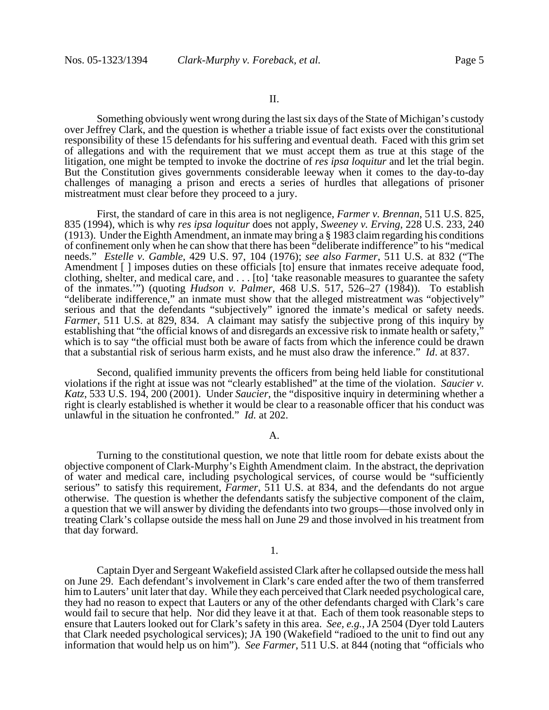Something obviously went wrong during the last six days of the State of Michigan's custody over Jeffrey Clark, and the question is whether a triable issue of fact exists over the constitutional responsibility of these 15 defendants for his suffering and eventual death. Faced with this grim set of allegations and with the requirement that we must accept them as true at this stage of the litigation, one might be tempted to invoke the doctrine of *res ipsa loquitur* and let the trial begin. But the Constitution gives governments considerable leeway when it comes to the day-to-day challenges of managing a prison and erects a series of hurdles that allegations of prisoner mistreatment must clear before they proceed to a jury.

First, the standard of care in this area is not negligence, *Farmer v. Brennan*, 511 U.S. 825, 835 (1994), which is why *res ipsa loquitur* does not apply, *Sweeney v. Erving*, 228 U.S. 233, 240 (1913). Under the Eighth Amendment, an inmate may bring a § 1983 claim regarding his conditions of confinement only when he can show that there has been "deliberate indifference" to his "medical needs." *Estelle v. Gamble*, 429 U.S. 97, 104 (1976); *see also Farmer*, 511 U.S. at 832 ("The Amendment  $\lceil \cdot \rceil$  imposes duties on these officials [to] ensure that inmates receive adequate food, clothing, shelter, and medical care, and . . . [to] 'take reasonable measures to guarantee the safety of the inmates.'") (quoting *Hudson v. Palmer*, 468 U.S. 517, 526–27 (1984)). To establish "deliberate indifference," an inmate must show that the alleged mistreatment was "objectively" serious and that the defendants "subjectively" ignored the inmate's medical or safety needs. *Farmer*, 511 U.S. at 829, 834. A claimant may satisfy the subjective prong of this inquiry by establishing that "the official knows of and disregards an excessive risk to inmate health or safety," which is to say "the official must both be aware of facts from which the inference could be drawn that a substantial risk of serious harm exists, and he must also draw the inference." *Id*. at 837.

Second, qualified immunity prevents the officers from being held liable for constitutional violations if the right at issue was not "clearly established" at the time of the violation. *Saucier v. Katz*, 533 U.S. 194, 200 (2001). Under *Saucier*, the "dispositive inquiry in determining whether a right is clearly established is whether it would be clear to a reasonable officer that his conduct was unlawful in the situation he confronted." *Id.* at 202.

# A.

Turning to the constitutional question, we note that little room for debate exists about the objective component of Clark-Murphy's Eighth Amendment claim. In the abstract, the deprivation of water and medical care, including psychological services, of course would be "sufficiently serious" to satisfy this requirement, *Farmer*, 511 U.S. at 834, and the defendants do not argue otherwise. The question is whether the defendants satisfy the subjective component of the claim, a question that we will answer by dividing the defendants into two groups—those involved only in treating Clark's collapse outside the mess hall on June 29 and those involved in his treatment from that day forward.

# 1.

Captain Dyer and Sergeant Wakefield assisted Clark after he collapsed outside the mess hall on June 29. Each defendant's involvement in Clark's care ended after the two of them transferred him to Lauters' unit later that day. While they each perceived that Clark needed psychological care, they had no reason to expect that Lauters or any of the other defendants charged with Clark's care would fail to secure that help. Nor did they leave it at that. Each of them took reasonable steps to ensure that Lauters looked out for Clark's safety in this area. *See, e.g.*, JA 2504 (Dyer told Lauters that Clark needed psychological services); JA 190 (Wakefield "radioed to the unit to find out any information that would help us on him"). *See Farmer*, 511 U.S. at 844 (noting that "officials who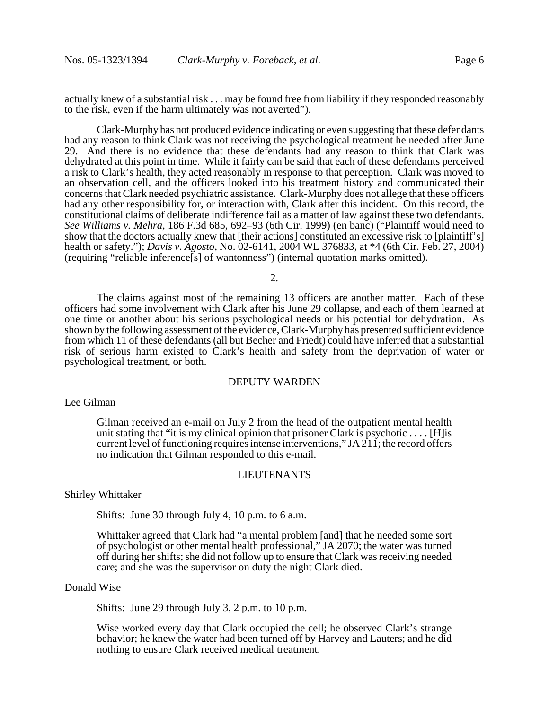actually knew of a substantial risk . . . may be found free from liability if they responded reasonably to the risk, even if the harm ultimately was not averted").

Clark-Murphy has not produced evidence indicating or even suggesting that these defendants had any reason to think Clark was not receiving the psychological treatment he needed after June 29. And there is no evidence that these defendants had any reason to think that Clark was dehydrated at this point in time. While it fairly can be said that each of these defendants perceived a risk to Clark's health, they acted reasonably in response to that perception. Clark was moved to an observation cell, and the officers looked into his treatment history and communicated their concerns that Clark needed psychiatric assistance. Clark-Murphy does not allege that these officers had any other responsibility for, or interaction with, Clark after this incident. On this record, the constitutional claims of deliberate indifference fail as a matter of law against these two defendants. *See Williams v. Mehra*, 186 F.3d 685, 692–93 (6th Cir. 1999) (en banc) ("Plaintiff would need to show that the doctors actually knew that [their actions] constituted an excessive risk to [plaintiff's] health or safety."); *Davis v. Agosto*, No. 02-6141, 2004 WL 376833, at \*4 (6th Cir. Feb. 27, 2004) (requiring "reliable inference[s] of wantonness") (internal quotation marks omitted).

2.

The claims against most of the remaining 13 officers are another matter. Each of these officers had some involvement with Clark after his June 29 collapse, and each of them learned at one time or another about his serious psychological needs or his potential for dehydration. As shown by the following assessment of the evidence, Clark-Murphy has presented sufficient evidence from which 11 of these defendants (all but Becher and Friedt) could have inferred that a substantial risk of serious harm existed to Clark's health and safety from the deprivation of water or psychological treatment, or both.

# DEPUTY WARDEN

Lee Gilman

Gilman received an e-mail on July 2 from the head of the outpatient mental health unit stating that "it is my clinical opinion that prisoner Clark is psychotic  $\dots$ . [H]is current level of functioning requires intense interventions," JA 211; the record offers no indication that Gilman responded to this e-mail.

### LIEUTENANTS

### Shirley Whittaker

Shifts: June 30 through July 4, 10 p.m. to 6 a.m.

Whittaker agreed that Clark had "a mental problem [and] that he needed some sort of psychologist or other mental health professional," JA 2070; the water was turned off during her shifts; she did not follow up to ensure that Clark was receiving needed care; and she was the supervisor on duty the night Clark died.

## Donald Wise

Shifts: June 29 through July 3, 2 p.m. to 10 p.m.

Wise worked every day that Clark occupied the cell; he observed Clark's strange behavior; he knew the water had been turned off by Harvey and Lauters; and he did nothing to ensure Clark received medical treatment.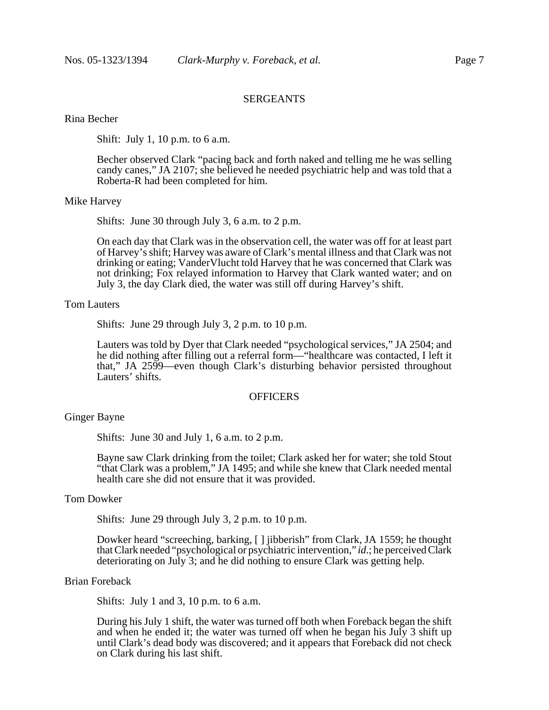# SERGEANTS

# Rina Becher

Shift: July 1, 10 p.m. to 6 a.m.

Becher observed Clark "pacing back and forth naked and telling me he was selling candy canes," JA 2107; she believed he needed psychiatric help and was told that a Roberta-R had been completed for him.

#### Mike Harvey

Shifts: June 30 through July 3, 6 a.m. to 2 p.m.

On each day that Clark was in the observation cell, the water was off for at least part of Harvey's shift; Harvey was aware of Clark's mental illness and that Clark was not drinking or eating; VanderVlucht told Harvey that he was concerned that Clark was not drinking; Fox relayed information to Harvey that Clark wanted water; and on July 3, the day Clark died, the water was still off during Harvey's shift.

## Tom Lauters

Shifts: June 29 through July 3, 2 p.m. to 10 p.m.

Lauters was told by Dyer that Clark needed "psychological services," JA 2504; and he did nothing after filling out a referral form—"healthcare was contacted, I left it that," JA 2599—even though Clark's disturbing behavior persisted throughout Lauters' shifts.

# **OFFICERS**

### Ginger Bayne

Shifts: June 30 and July 1, 6 a.m. to 2 p.m.

Bayne saw Clark drinking from the toilet; Clark asked her for water; she told Stout "that Clark was a problem," JA 1495; and while she knew that Clark needed mental health care she did not ensure that it was provided.

## Tom Dowker

Shifts: June 29 through July 3, 2 p.m. to 10 p.m.

Dowker heard "screeching, barking, [ ] jibberish" from Clark, JA 1559; he thought that Clark needed "psychological or psychiatric intervention," *id*.; he perceived Clark deteriorating on July 3; and he did nothing to ensure Clark was getting help.

### Brian Foreback

Shifts: July 1 and 3, 10 p.m. to 6 a.m.

During his July 1 shift, the water was turned off both when Foreback began the shift and when he ended it; the water was turned off when he began his July 3 shift up until Clark's dead body was discovered; and it appears that Foreback did not check on Clark during his last shift.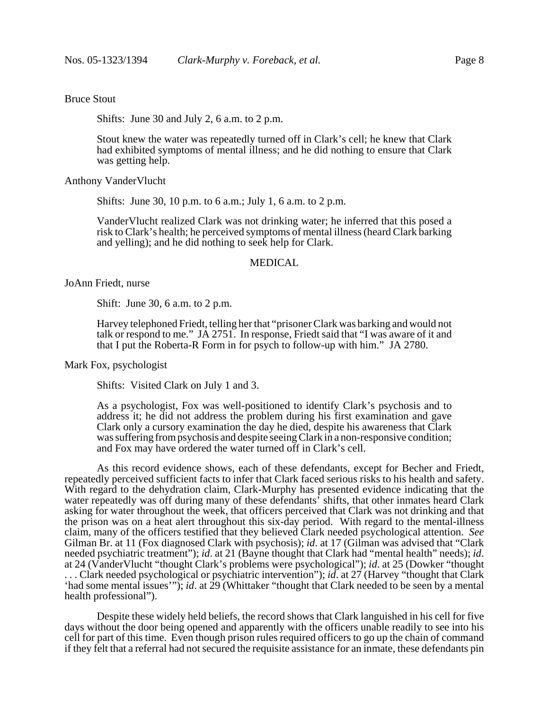# Bruce Stout

Shifts: June 30 and July 2, 6 a.m. to 2 p.m.

Stout knew the water was repeatedly turned off in Clark's cell; he knew that Clark had exhibited symptoms of mental illness; and he did nothing to ensure that Clark was getting help.

Anthony VanderVlucht

Shifts: June 30, 10 p.m. to 6 a.m.; July 1, 6 a.m. to 2 p.m.

VanderVlucht realized Clark was not drinking water; he inferred that this posed a risk to Clark's health; he perceived symptoms of mental illness (heard Clark barking and yelling); and he did nothing to seek help for Clark.

# MEDICAL

JoAnn Friedt, nurse

Shift: June 30, 6 a.m. to 2 p.m.

Harvey telephoned Friedt, telling her that "prisoner Clark was barking and would not talk or respond to me." JA 2751. In response, Friedt said that "I was aware of it and that I put the Roberta-R Form in for psych to follow-up with him." JA 2780.

Mark Fox, psychologist

Shifts: Visited Clark on July 1 and 3.

As a psychologist, Fox was well-positioned to identify Clark's psychosis and to address it; he did not address the problem during his first examination and gave Clark only a cursory examination the day he died, despite his awareness that Clark was suffering from psychosis and despite seeing Clark in a non-responsive condition; and Fox may have ordered the water turned off in Clark's cell.

As this record evidence shows, each of these defendants, except for Becher and Friedt, repeatedly perceived sufficient facts to infer that Clark faced serious risks to his health and safety. With regard to the dehydration claim, Clark-Murphy has presented evidence indicating that the water repeatedly was off during many of these defendants<sup>5</sup> shifts, that other inmates heard Clark asking for water throughout the week, that officers perceived that Clark was not drinking and that the prison was on a heat alert throughout this six-day period. With regard to the mental-illness claim, many of the officers testified that they believed Clark needed psychological attention. *See* Gilman Br. at 11 (Fox diagnosed Clark with psychosis); *id*. at 17 (Gilman was advised that "Clark needed psychiatric treatment"); *id*. at 21 (Bayne thought that Clark had "mental health" needs); *id*. at 24 (VanderVlucht "thought Clark's problems were psychological"); *id*. at 25 (Dowker "thought . . . Clark needed psychological or psychiatric intervention"); *id*. at 27 (Harvey "thought that Clark 'had some mental issues'"); *id*. at 29 (Whittaker "thought that Clark needed to be seen by a mental health professional").

Despite these widely held beliefs, the record shows that Clark languished in his cell for five days without the door being opened and apparently with the officers unable readily to see into his cell for part of this time. Even though prison rules required officers to go up the chain of command if they felt that a referral had not secured the requisite assistance for an inmate, these defendants pin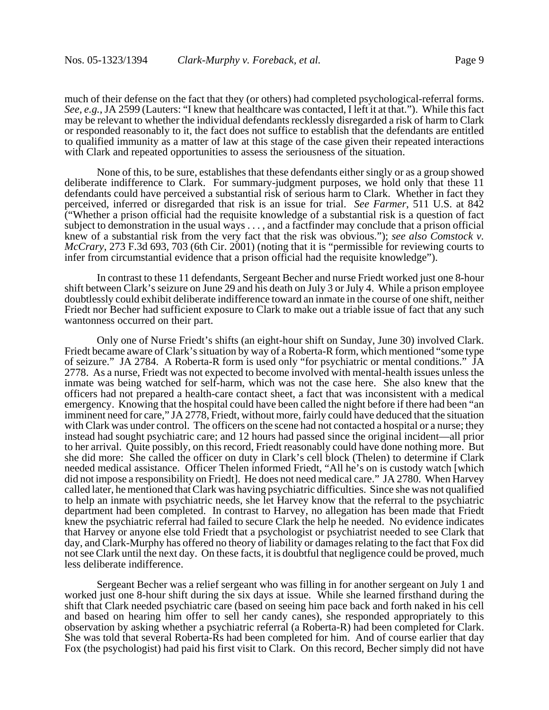much of their defense on the fact that they (or others) had completed psychological-referral forms. *See, e.g.*, JA 2599 (Lauters: "I knew that healthcare was contacted, I left it at that."). While this fact may be relevant to whether the individual defendants recklessly disregarded a risk of harm to Clark or responded reasonably to it, the fact does not suffice to establish that the defendants are entitled to qualified immunity as a matter of law at this stage of the case given their repeated interactions with Clark and repeated opportunities to assess the seriousness of the situation.

None of this, to be sure, establishes that these defendants either singly or as a group showed deliberate indifference to Clark. For summary-judgment purposes, we hold only that these 11 defendants could have perceived a substantial risk of serious harm to Clark. Whether in fact they perceived, inferred or disregarded that risk is an issue for trial. *See Farmer*, 511 U.S. at 842 ("Whether a prison official had the requisite knowledge of a substantial risk is a question of fact subject to demonstration in the usual ways . . . , and a factfinder may conclude that a prison official knew of a substantial risk from the very fact that the risk was obvious."); *see also Comstock v. McCrary*, 273 F.3d 693, 703 (6th Cir. 2001) (noting that it is "permissible for reviewing courts to infer from circumstantial evidence that a prison official had the requisite knowledge").

In contrast to these 11 defendants, Sergeant Becher and nurse Friedt worked just one 8-hour shift between Clark's seizure on June 29 and his death on July 3 or July 4. While a prison employee doubtlessly could exhibit deliberate indifference toward an inmate in the course of one shift, neither Friedt nor Becher had sufficient exposure to Clark to make out a triable issue of fact that any such wantonness occurred on their part.

Only one of Nurse Friedt's shifts (an eight-hour shift on Sunday, June 30) involved Clark. Friedt became aware of Clark's situation by way of a Roberta-R form, which mentioned "some type of seizure." JA 2784. A Roberta-R form is used only "for psychiatric or mental conditions." JA 2778. As a nurse, Friedt was not expected to become involved with mental-health issues unless the inmate was being watched for self-harm, which was not the case here. She also knew that the officers had not prepared a health-care contact sheet, a fact that was inconsistent with a medical emergency. Knowing that the hospital could have been called the night before if there had been "an imminent need for care," JA 2778, Friedt, without more, fairly could have deduced that the situation with Clark was under control. The officers on the scene had not contacted a hospital or a nurse; they instead had sought psychiatric care; and 12 hours had passed since the original incident—all prior to her arrival. Quite possibly, on this record, Friedt reasonably could have done nothing more. But she did more: She called the officer on duty in Clark's cell block (Thelen) to determine if Clark needed medical assistance. Officer Thelen informed Friedt, "All he's on is custody watch [which did not impose a responsibility on Friedt]. He does not need medical care." JA 2780. When Harvey called later, he mentioned that Clark was having psychiatric difficulties. Since she was not qualified to help an inmate with psychiatric needs, she let Harvey know that the referral to the psychiatric department had been completed. In contrast to Harvey, no allegation has been made that Friedt knew the psychiatric referral had failed to secure Clark the help he needed. No evidence indicates that Harvey or anyone else told Friedt that a psychologist or psychiatrist needed to see Clark that day, and Clark-Murphy has offered no theory of liability or damages relating to the fact that Fox did not see Clark until the next day. On these facts, it is doubtful that negligence could be proved, much less deliberate indifference.

Sergeant Becher was a relief sergeant who was filling in for another sergeant on July 1 and worked just one 8-hour shift during the six days at issue. While she learned firsthand during the shift that Clark needed psychiatric care (based on seeing him pace back and forth naked in his cell and based on hearing him offer to sell her candy canes), she responded appropriately to this observation by asking whether a psychiatric referral (a Roberta-R) had been completed for Clark. She was told that several Roberta-Rs had been completed for him. And of course earlier that day Fox (the psychologist) had paid his first visit to Clark. On this record, Becher simply did not have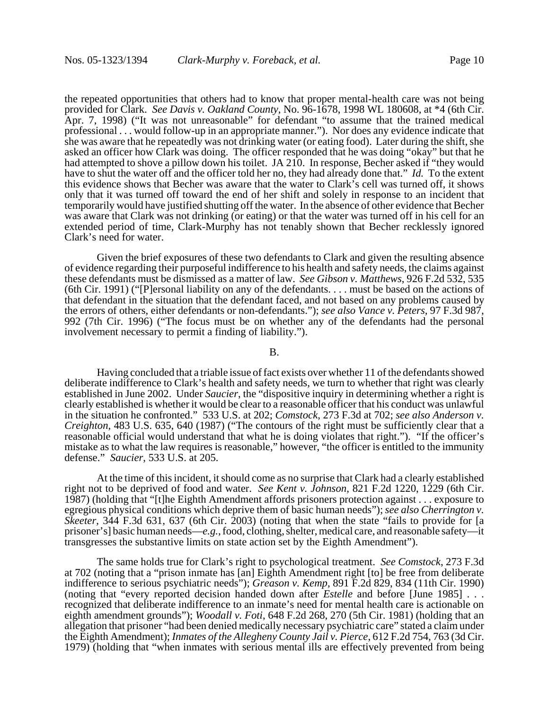the repeated opportunities that others had to know that proper mental-health care was not being provided for Clark. *See Davis v. Oakland County*, No. 96-1678, 1998 WL 180608, at \*4 (6th Cir. Apr. 7, 1998) ("It was not unreasonable" for defendant "to assume that the trained medical professional . . . would follow-up in an appropriate manner."). Nor does any evidence indicate that she was aware that he repeatedly was not drinking water (or eating food). Later during the shift, she asked an officer how Clark was doing. The officer responded that he was doing "okay" but that he had attempted to shove a pillow down his toilet. JA 210. In response, Becher asked if "they would have to shut the water off and the officer told her no, they had already done that." *Id.* To the extent this evidence shows that Becher was aware that the water to Clark's cell was turned off, it shows only that it was turned off toward the end of her shift and solely in response to an incident that temporarily would have justified shutting off the water. In the absence of other evidence that Becher was aware that Clark was not drinking (or eating) or that the water was turned off in his cell for an extended period of time, Clark-Murphy has not tenably shown that Becher recklessly ignored Clark's need for water.

Given the brief exposures of these two defendants to Clark and given the resulting absence of evidence regarding their purposeful indifference to his health and safety needs, the claims against these defendants must be dismissed as a matter of law. *See Gibson v. Matthews*, 926 F.2d 532, 535 (6th Cir. 1991) ("[P]ersonal liability on any of the defendants. . . . must be based on the actions of that defendant in the situation that the defendant faced, and not based on any problems caused by the errors of others, either defendants or non-defendants."); *see also Vance v. Peters*, 97 F.3d 987, 992 (7th Cir. 1996) ("The focus must be on whether any of the defendants had the personal involvement necessary to permit a finding of liability.").

#### B.

Having concluded that a triable issue of fact exists over whether 11 of the defendants showed deliberate indifference to Clark's health and safety needs, we turn to whether that right was clearly established in June 2002. Under *Saucier*, the "dispositive inquiry in determining whether a right is clearly established is whether it would be clear to a reasonable officer that his conduct was unlawful in the situation he confronted." 533 U.S. at 202; *Comstock*, 273 F.3d at 702; *see also Anderson v. Creighton*, 483 U.S. 635, 640 (1987) ("The contours of the right must be sufficiently clear that a reasonable official would understand that what he is doing violates that right."). "If the officer's mistake as to what the law requires is reasonable," however, "the officer is entitled to the immunity defense." *Saucier*, 533 U.S. at 205.

At the time of this incident, it should come as no surprise that Clark had a clearly established right not to be deprived of food and water. *See Kent v. Johnson*, 821 F.2d 1220, 1229 (6th Cir. 1987) (holding that "[t]he Eighth Amendment affords prisoners protection against . . . exposure to egregious physical conditions which deprive them of basic human needs"); *see also Cherrington v. Skeeter*, 344 F.3d 631, 637 (6th Cir. 2003) (noting that when the state "fails to provide for [a prisoner's] basic human needs—*e.g.*, food, clothing, shelter, medical care, and reasonable safety—it transgresses the substantive limits on state action set by the Eighth Amendment").

The same holds true for Clark's right to psychological treatment. *See Comstock*, 273 F.3d at 702 (noting that a "prison inmate has [an] Eighth Amendment right [to] be free from deliberate indifference to serious psychiatric needs"); *Greason v. Kemp*, 891 F.2d 829, 834 (11th Cir. 1990) (noting that "every reported decision handed down after *Estelle* and before [June 1985] . . . recognized that deliberate indifference to an inmate's need for mental health care is actionable on eighth amendment grounds"); *Woodall v. Foti*, 648 F.2d 268, 270 (5th Cir. 1981) (holding that an allegation that prisoner "had been denied medically necessary psychiatric care" stated a claim under the Eighth Amendment); *Inmates of the Allegheny County Jail v. Pierce*, 612 F.2d 754, 763 (3d Cir. 1979) (holding that "when inmates with serious mental ills are effectively prevented from being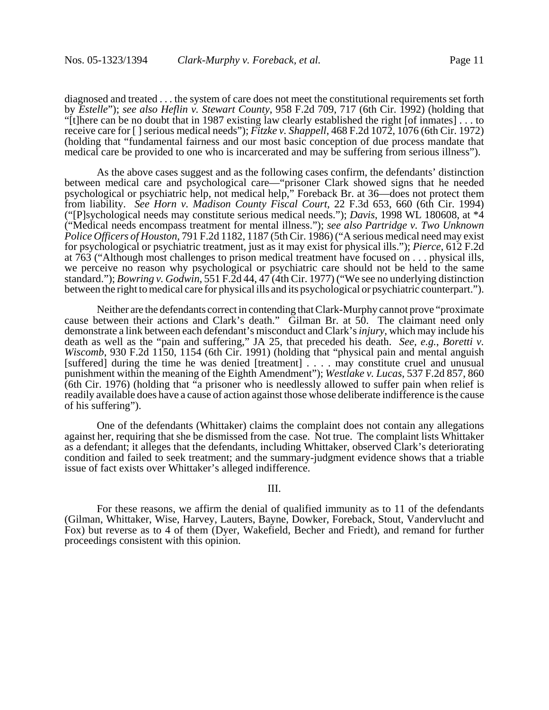diagnosed and treated . . . the system of care does not meet the constitutional requirements set forth by *Estelle*"); *see also Heflin v. Stewart County*, 958 F.2d 709, 717 (6th Cir. 1992) (holding that "[t]here can be no doubt that in 1987 existing law clearly established the right [of inmates] . . . to receive care for [ ] serious medical needs"); *Fitzke v. Shappell*, 468 F.2d 1072, 1076 (6th Cir. 1972) (holding that "fundamental fairness and our most basic conception of due process mandate that medical care be provided to one who is incarcerated and may be suffering from serious illness").

As the above cases suggest and as the following cases confirm, the defendants' distinction between medical care and psychological care—"prisoner Clark showed signs that he needed psychological or psychiatric help, not medical help," Foreback Br. at 36—does not protect them from liability. *See Horn v. Madison County Fiscal Court*, 22 F.3d 653, 660 (6th Cir. 1994) ("[P]sychological needs may constitute serious medical needs."); *Davis*, 1998 WL 180608, at \*4 ("Medical needs encompass treatment for mental illness."); *see also Partridge v. Two Unknown Police Officers of Houston*, 791 F.2d 1182, 1187 (5th Cir. 1986) ("A serious medical need may exist for psychological or psychiatric treatment, just as it may exist for physical ills."); *Pierce*, 612 F.2d at 763 ("Although most challenges to prison medical treatment have focused on . . . physical ills, we perceive no reason why psychological or psychiatric care should not be held to the same standard."); *Bowring v. Godwin*, 551 F.2d 44, 47 (4th Cir. 1977) ("We see no underlying distinction between the right to medical care for physical ills and its psychological or psychiatric counterpart.").

Neither are the defendants correct in contending that Clark-Murphy cannot prove "proximate cause between their actions and Clark's death." Gilman Br. at 50. The claimant need only demonstrate a link between each defendant's misconduct and Clark's *injury*, which may include his death as well as the "pain and suffering," JA 25, that preceded his death. *See, e.g.*, *Boretti v. Wiscomb*, 930 F.2d 1150, 1154 (6th Cir. 1991) (holding that "physical pain and mental anguish [suffered] during the time he was denied [treatment] . . . . may constitute cruel and unusual punishment within the meaning of the Eighth Amendment"); *Westlake v. Lucas*, 537 F.2d 857, 860 (6th Cir. 1976) (holding that "a prisoner who is needlessly allowed to suffer pain when relief is readily available does have a cause of action against those whose deliberate indifference is the cause of his suffering").

One of the defendants (Whittaker) claims the complaint does not contain any allegations against her, requiring that she be dismissed from the case. Not true. The complaint lists Whittaker as a defendant; it alleges that the defendants, including Whittaker, observed Clark's deteriorating condition and failed to seek treatment; and the summary-judgment evidence shows that a triable issue of fact exists over Whittaker's alleged indifference.

# III.

For these reasons, we affirm the denial of qualified immunity as to 11 of the defendants (Gilman, Whittaker, Wise, Harvey, Lauters, Bayne, Dowker, Foreback, Stout, Vandervlucht and Fox) but reverse as to 4 of them (Dyer, Wakefield, Becher and Friedt), and remand for further proceedings consistent with this opinion.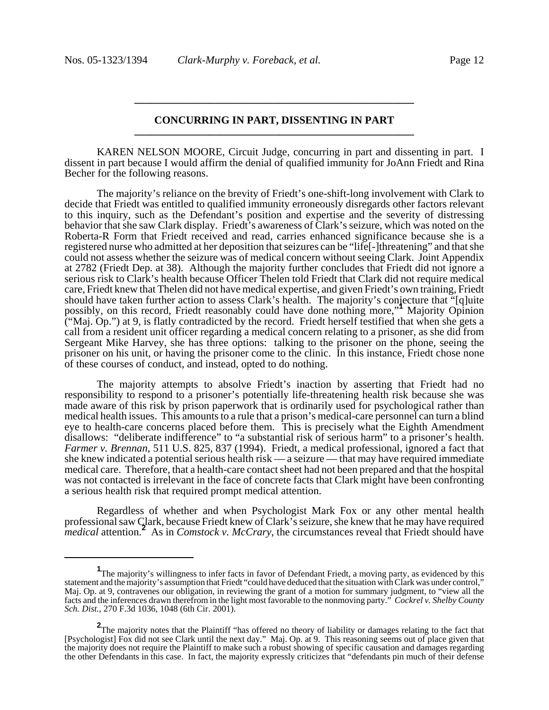# **CONCURRING IN PART, DISSENTING IN PART \_\_\_\_\_\_\_\_\_\_\_\_\_\_\_\_\_\_\_\_\_\_\_\_\_\_\_\_\_\_\_\_\_\_\_\_\_\_\_\_\_\_\_\_\_\_\_\_\_\_\_\_**

**\_\_\_\_\_\_\_\_\_\_\_\_\_\_\_\_\_\_\_\_\_\_\_\_\_\_\_\_\_\_\_\_\_\_\_\_\_\_\_\_\_\_\_\_\_\_\_\_\_\_\_\_**

KAREN NELSON MOORE, Circuit Judge, concurring in part and dissenting in part. I dissent in part because I would affirm the denial of qualified immunity for JoAnn Friedt and Rina Becher for the following reasons.

The majority's reliance on the brevity of Friedt's one-shift-long involvement with Clark to decide that Friedt was entitled to qualified immunity erroneously disregards other factors relevant to this inquiry, such as the Defendant's position and expertise and the severity of distressing behavior that she saw Clark display. Friedt's awareness of Clark's seizure, which was noted on the Roberta-R Form that Friedt received and read, carries enhanced significance because she is a registered nurse who admitted at her deposition that seizures can be "life[-]threatening" and that she could not assess whether the seizure was of medical concern without seeing Clark. Joint Appendix at 2782 (Friedt Dep. at 38). Although the majority further concludes that Friedt did not ignore a serious risk to Clark's health because Officer Thelen told Friedt that Clark did not require medical care, Friedt knew that Thelen did not have medical expertise, and given Friedt's own training, Friedt should have taken further action to assess Clark's health. The majority's conjecture that "[q]uite possibly, on this record, Friedt reasonably could have done nothing more,"**<sup>1</sup>** Majority Opinion ("Maj. Op.") at 9, is flatly contradicted by the record. Friedt herself testified that when she gets a call from a resident unit officer regarding a medical concern relating to a prisoner, as she did from Sergeant Mike Harvey, she has three options: talking to the prisoner on the phone, seeing the prisoner on his unit, or having the prisoner come to the clinic. In this instance, Friedt chose none of these courses of conduct, and instead, opted to do nothing.

The majority attempts to absolve Friedt's inaction by asserting that Friedt had no responsibility to respond to a prisoner's potentially life-threatening health risk because she was made aware of this risk by prison paperwork that is ordinarily used for psychological rather than medical health issues. This amounts to a rule that a prison's medical-care personnel can turn a blind eye to health-care concerns placed before them. This is precisely what the Eighth Amendment disallows: "deliberate indifference" to "a substantial risk of serious harm" to a prisoner's health. *Farmer v. Brennan*, 511 U.S. 825, 837 (1994). Friedt, a medical professional, ignored a fact that she knew indicated a potential serious health risk — a seizure — that may have required immediate medical care. Therefore, that a health-care contact sheet had not been prepared and that the hospital was not contacted is irrelevant in the face of concrete facts that Clark might have been confronting a serious health risk that required prompt medical attention.

Regardless of whether and when Psychologist Mark Fox or any other mental health professional saw Clark, because Friedt knew of Clark's seizure, she knew that he may have required *medical* attention.**<sup>2</sup>** As in *Comstock v. McCrary*, the circumstances reveal that Friedt should have

<sup>&</sup>lt;sup>1</sup>The majority's willingness to infer facts in favor of Defendant Friedt, a moving party, as evidenced by this statement and the majority's assumption that Friedt "could have deduced that the situation with Clark was under control," Maj. Op. at 9, contravenes our obligation, in reviewing the grant of a motion for summary judgment, to "view all the facts and the inferences drawn therefrom in the light most favorable to the nonmoving party." *Cockrel v. Shelby County Sch. Dist.*, 270 F.3d 1036, 1048 (6th Cir. 2001).

**<sup>2</sup>** The majority notes that the Plaintiff "has offered no theory of liability or damages relating to the fact that [Psychologist] Fox did not see Clark until the next day." Maj. Op. at 9. This reasoning seems out of place given that the majority does not require the Plaintiff to make such a robust showing of specific causation and damages regarding the other Defendants in this case. In fact, the majority expressly criticizes that "defendants pin much of their defense